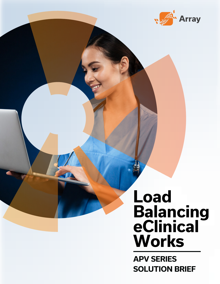

# **Load Balancing eClinical Works**

**APV SERIES SOLUTION BRIEF**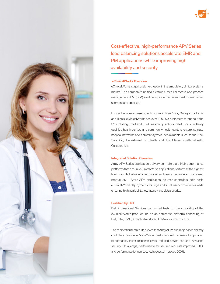

Cost-effective, high-performance APV Series load balancing solutions accelerate EMR and PM applications while improving high availability and security

### **eClinicalWorks Overview**

eClinicalWorks is a privately held leader in the ambulatory clinical systems market. The company's unified electronic medical record and practice management (EMR/PM) solution is proven for every health care market segment and specialty.

Located in Massachusetts, with offices in New York, Georgia, California and Illinois, eClinicalWorks has over 100,000 customers throughout the US including small and medium-sized practices, retail clinics, federally qualified health centers and community health centers, enterprise-class hospital networks and community-wide deployments such as the New York City Department of Health and the Massachusetts eHealth Collaborative.

#### **Integrated Solution Overview**

Array APV Series application delivery controllers are high-performance platforms that ensure eClinicalWorks applications perform at the highest level possible to deliver an enhanced end user experience and increased productivity. Array APV application delivery controllers help scale eClinicalWorks deployments for large and small user communities while ensuring high availability, low latency and data security.

#### **Certified by Dell**

Dell Professional Services conducted tests for the scalability of the eClinicalWorks product line on an enterprise platform consisting of Dell, Intel, EMC, Array Networks and VMware infrastructure.

The certification test results proved that Array APV Series application delivery controllers provide eClinicalWorks customers with increased application performance, faster response times, reduced server load and increased security. On average, performance for secured requests improved 150% and performance for non-secured requests improved 200%.

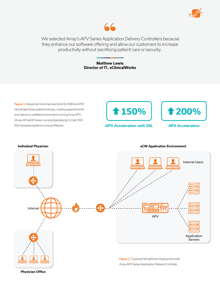



 We selected Array's APV Series Application Delivery Controllers because they enhance our software offering and allow our customers to increase productivity without sacrificing patient care or security.

> **Matthew Lewis Director of IT, eClinicalWorks**

Figure 1: Response time improvements for EMR and PM clinical task flows (patient lookups, creating appointments and claims) in certified environment running Array APV. (Array APVx600 Series running AppVelocity-S, Dell 2950 ESX hardware systems running VMware



**APV Acceleration with SSL**



**APV Acceleration**



**Physician Office**